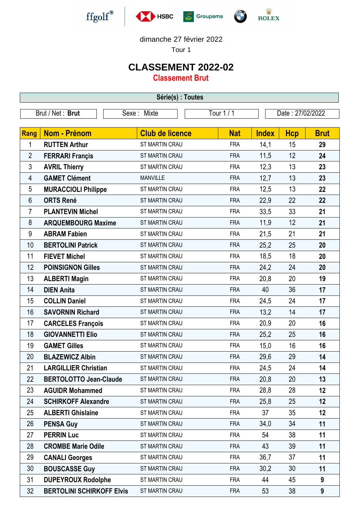





## dimanche 27 février 2022

Tour 1

## **CLASSEMENT 2022-02**

**Classement Brut**

| Série(s) : Toutes |                                  |                        |            |                  |            |             |  |  |  |
|-------------------|----------------------------------|------------------------|------------|------------------|------------|-------------|--|--|--|
|                   | Brut / Net: Brut                 | Sexe: Mixte            | Tour 1 / 1 | Date: 27/02/2022 |            |             |  |  |  |
|                   |                                  |                        |            |                  |            |             |  |  |  |
| Rang              | <b>Nom - Prénom</b>              | <b>Club de licence</b> | <b>Nat</b> | <b>Index</b>     | <b>Hcp</b> | <b>Brut</b> |  |  |  |
| 1                 | <b>RUTTEN Arthur</b>             | ST MARTIN CRAU         | <b>FRA</b> | 14,1             | 15         | 29          |  |  |  |
| $\overline{2}$    | <b>FERRARI Françis</b>           | <b>ST MARTIN CRAU</b>  | <b>FRA</b> | 11,5             | 12         | 24          |  |  |  |
| 3                 | <b>AVRIL Thierry</b>             | <b>ST MARTIN CRAU</b>  | <b>FRA</b> | 12,3             | 13         | 23          |  |  |  |
| $\overline{4}$    | <b>GAMET Clément</b>             | <b>MANVILLE</b>        | <b>FRA</b> | 12,7             | 13         | 23          |  |  |  |
| 5                 | <b>MURACCIOLI Philippe</b>       | <b>ST MARTIN CRAU</b>  | <b>FRA</b> | 12,5             | 13         | 22          |  |  |  |
| 6                 | <b>ORTS René</b>                 | ST MARTIN CRAU         | <b>FRA</b> | 22,9             | 22         | 22          |  |  |  |
| 7                 | <b>PLANTEVIN Michel</b>          | <b>ST MARTIN CRAU</b>  | <b>FRA</b> | 33,5             | 33         | 21          |  |  |  |
| 8                 | <b>ARQUEMBOURG Maxime</b>        | <b>ST MARTIN CRAU</b>  | <b>FRA</b> | 11,9             | 12         | 21          |  |  |  |
| 9                 | <b>ABRAM Fabien</b>              | <b>ST MARTIN CRAU</b>  | <b>FRA</b> | 21,5             | 21         | 21          |  |  |  |
| 10                | <b>BERTOLINI Patrick</b>         | <b>ST MARTIN CRAU</b>  | <b>FRA</b> | 25,2             | 25         | 20          |  |  |  |
| 11                | <b>FIEVET Michel</b>             | <b>ST MARTIN CRAU</b>  | <b>FRA</b> | 18,5             | 18         | 20          |  |  |  |
| 12                | <b>POINSIGNON Gilles</b>         | ST MARTIN CRAU         | <b>FRA</b> | 24,2             | 24         | 20          |  |  |  |
| 13                | <b>ALBERTI Magin</b>             | ST MARTIN CRAU         | <b>FRA</b> | 20,8             | 20         | 19          |  |  |  |
| 14                | <b>DIEN Anita</b>                | ST MARTIN CRAU         | <b>FRA</b> | 40               | 36         | 17          |  |  |  |
| 15                | <b>COLLIN Daniel</b>             | ST MARTIN CRAU         | <b>FRA</b> | 24,5             | 24         | 17          |  |  |  |
| 16                | <b>SAVORNIN Richard</b>          | ST MARTIN CRAU         | <b>FRA</b> | 13,2             | 14         | 17          |  |  |  |
| 17                | <b>CARCELES François</b>         | ST MARTIN CRAU         | <b>FRA</b> | 20,9             | 20         | 16          |  |  |  |
| 18                | <b>GIOVANNETTI Elio</b>          | ST MARTIN CRAU         | <b>FRA</b> | 25,2             | 25         | 16          |  |  |  |
| 19                | <b>GAMET Gilles</b>              | <b>ST MARTIN CRAU</b>  | <b>FRA</b> | 15,0             | 16         | 16          |  |  |  |
| 20                | <b>BLAZEWICZ Albin</b>           | <b>ST MARTIN CRAU</b>  | <b>FRA</b> | 29,6             | 29         | 14          |  |  |  |
| 21                | <b>LARGILLIER Christian</b>      | <b>ST MARTIN CRAU</b>  | <b>FRA</b> | 24,5             | 24         | 14          |  |  |  |
| 22                | <b>BERTOLOTTO Jean-Claude</b>    | ST MARTIN CRAU         | <b>FRA</b> | 20,8             | 20         | 13          |  |  |  |
| 23                | <b>AGUIDR Mohammed</b>           | ST MARTIN CRAU         | <b>FRA</b> | 28,8             | 28         | 12          |  |  |  |
| 24                | <b>SCHIRKOFF Alexandre</b>       | <b>ST MARTIN CRAU</b>  | <b>FRA</b> | 25,8             | 25         | 12          |  |  |  |
| 25                | <b>ALBERTI Ghislaine</b>         | ST MARTIN CRAU         | <b>FRA</b> | 37               | 35         | 12          |  |  |  |
| 26                | <b>PENSA Guy</b>                 | ST MARTIN CRAU         | <b>FRA</b> | 34,0             | 34         | 11          |  |  |  |
| 27                | <b>PERRIN Luc</b>                | ST MARTIN CRAU         | <b>FRA</b> | 54               | 38         | 11          |  |  |  |
| 28                | <b>CROMBE Marie Odile</b>        | ST MARTIN CRAU         | <b>FRA</b> | 43               | 39         | 11          |  |  |  |
| 29                | <b>CANALI Georges</b>            | ST MARTIN CRAU         | <b>FRA</b> | 36,7             | 37         | 11          |  |  |  |
| 30                | <b>BOUSCASSE Guy</b>             | ST MARTIN CRAU         | <b>FRA</b> | 30,2             | 30         | 11          |  |  |  |
| 31                | <b>DUPEYROUX Rodolphe</b>        | ST MARTIN CRAU         | <b>FRA</b> | 44               | 45         | 9           |  |  |  |
| 32                | <b>BERTOLINI SCHIRKOFF Elvis</b> | ST MARTIN CRAU         | <b>FRA</b> | 53               | 38         | 9           |  |  |  |